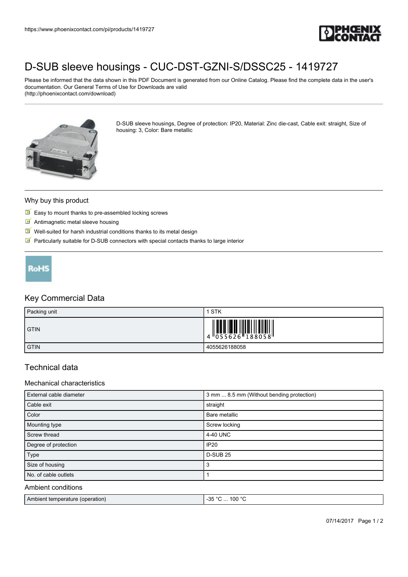

# [D-SUB sleeve housings - CUC-DST-GZNI-S/DSSC25 - 1419727](https://www.phoenixcontact.com/pi/products/1419727)

Please be informed that the data shown in this PDF Document is generated from our Online Catalog. Please find the complete data in the user's documentation. Our General Terms of Use for Downloads are valid (http://phoenixcontact.com/download)



D-SUB sleeve housings, Degree of protection: IP20, Material: Zinc die-cast, Cable exit: straight, Size of housing: 3, Color: Bare metallic

#### Why buy this product

- $\triangleright$  Easy to mount thanks to pre-assembled locking screws
- **M** Antimagnetic metal sleeve housing
- $\blacksquare$  Well-suited for harsh industrial conditions thanks to its metal design
- $\blacksquare$  Particularly suitable for D-SUB connectors with special contacts thanks to large interior



## Key Commercial Data

| Packing unit | <b>STK</b>                                                                                                                                                                                                                                                                                                                     |
|--------------|--------------------------------------------------------------------------------------------------------------------------------------------------------------------------------------------------------------------------------------------------------------------------------------------------------------------------------|
| <b>GTIN</b>  | $\begin{array}{c} 1 & 0 & 0 & 0 \\ 0 & 0 & 0 & 0 \\ 0 & 0 & 0 & 0 \\ 0 & 0 & 0 & 0 \\ 0 & 0 & 0 & 0 \\ 0 & 0 & 0 & 0 \\ 0 & 0 & 0 & 0 \\ 0 & 0 & 0 & 0 \\ 0 & 0 & 0 & 0 \\ 0 & 0 & 0 & 0 \\ 0 & 0 & 0 & 0 \\ 0 & 0 & 0 & 0 \\ 0 & 0 & 0 & 0 & 0 \\ 0 & 0 & 0 & 0 & 0 \\ 0 & 0 & 0 & 0 & 0 \\ 0 & 0 & 0 & 0 & 0 \\ 0 & 0 & 0 &$ |
| <b>GTIN</b>  | 4055626188058                                                                                                                                                                                                                                                                                                                  |

## Technical data

#### Mechanical characteristics

| External cable diameter | 3 mm  8.5 mm (Without bending protection) |
|-------------------------|-------------------------------------------|
| Cable exit              | straight                                  |
| Color                   | Bare metallic                             |
| Mounting type           | Screw locking                             |
| Screw thread            | 4-40 UNC                                  |
| Degree of protection    | <b>IP20</b>                               |
| Type                    | <b>D-SUB 25</b>                           |
| Size of housing         | 3                                         |
| No. of cable outlets    |                                           |
| Ambient conditions      |                                           |

| Ambient temperature (operation) | -35<br>$\ldots$ 100 °C.<br>- Ju<br> |
|---------------------------------|-------------------------------------|